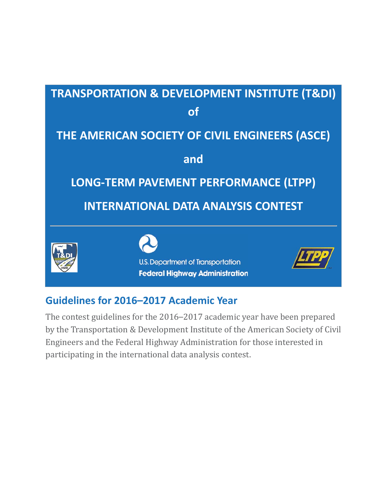

# **Guidelines for 2016–2017 Academic Year**

The contest guidelines for the 2016–2017 academic year have been prepared by the Transportation & Development Institute of the American Society of Civil Engineers and the Federal Highway Administration for those interested in participating in the international data analysis contest.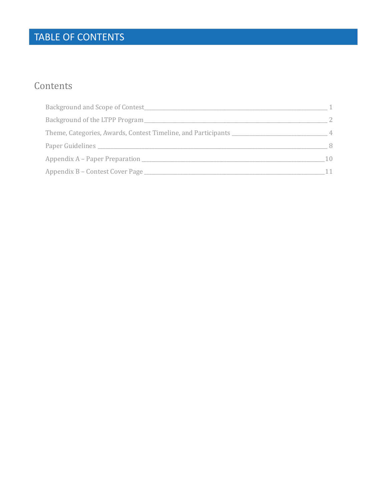# TABLE OF CONTENTS

# Contents

| Background and Scope of Contest <b>Example 20</b>                     |    |
|-----------------------------------------------------------------------|----|
| Background of the LTPP Program                                        |    |
| Theme, Categories, Awards, Contest Timeline, and Participants _______ |    |
|                                                                       | 8  |
| Appendix A – Paper Preparation                                        | 10 |
| Appendix B – Contest Cover Page                                       |    |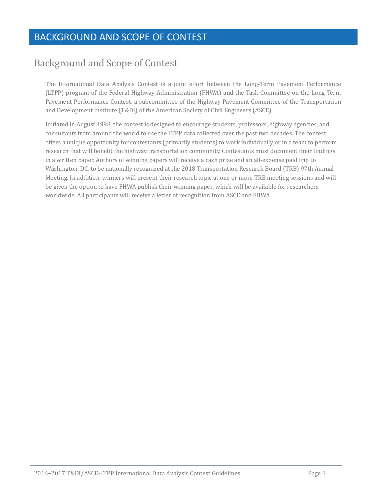# BACKGROUND AND SCOPE OF CONTEST

# **Background and Scope of Contest**

The International Data Analysis Contest is a joint effort between the Long-Term Pavement Performance (LTPP) program of the Federal Highway Administration (FHWA) and the Task Committee on the Long-Term Pavement Performance Contest, a subcommittee of the Highway Pavement Committee of the Transportation and Development Institute (T&DI) of the American Society of Civil Engineers (ASCE).

Initiated in August 1998, the contest is designed to encourage students, professors, highway agencies, and consultants from around the world to use the LTPP data collected over the past two decades. The contest offers a unique opportunity for contestants (primarily students) to work individually or in a team to perform research that will benefit the highway transportation community. Contestants must document their findings in a written paper. Authors of winning papers will receive a cash prize and an all-expense paid trip to Washington, DC, to be nationally recognized at the 2018 Transportation Research Board (TRB) 97th Annual Meeting. In addition, winners will present their research topic at one or more TRB meeting sessions and will be given the option to have FHWA publish their winning paper, which will be available for researchers worldwide. All participants will receive a letter of recognition from ASCE and FHWA.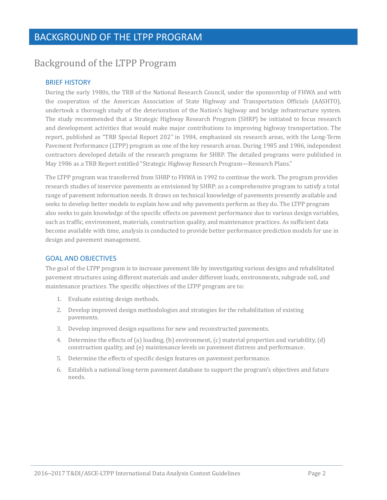# **Background of the LTPP Program**

## BRIEF HISTORY

During the early 1980s, the TRB of the National Research Council, under the sponsorship of FHWA and with the cooperation of the American Association of State Highway and Transportation Officials (AASHTO), undertook a thorough study of the deterioration of the Nation's highway and bridge infrastructure system. The study recommended that a Strategic Highway Research Program (SHRP) be initiated to focus research and development activities that would make major contributions to improving highway transportation. The report, published as "TRB Special Report 202" in 1984, emphasized six research areas, with the Long-Term Pavement Performance (LTPP) program as one of the key research areas. During 1985 and 1986, independent contractors developed details of the research programs for SHRP. The detailed programs were published in May 1986 as a TRB Report entitled "Strategic Highway Research Program—Research Plans."

The LTPP program was transferred from SHRP to FHWA in 1992 to continue the work. The program provides research studies of inservice payements as envisioned by SHRP: as a comprehensive program to satisfy a total range of pavement information needs. It draws on technical knowledge of pavements presently available and seeks to develop better models to explain how and why pavements perform as they do. The LTPP program also seeks to gain knowledge of the specific effects on pavement performance due to various design variables, such as traffic, environment, materials, construction quality, and maintenance practices. As sufficient data become available with time, analysis is conducted to provide better performance prediction models for use in design and pavement management.

### GOAL AND OBJECTIVES

The goal of the LTPP program is to increase pavement life by investigating various designs and rehabilitated pavement structures using different materials and under different loads, environments, subgrade soil, and maintenance practices. The specific objectives of the LTPP program are to:

- 1. Evaluate existing design methods.
- 2. Develop improved design methodologies and strategies for the rehabilitation of existing pavements.
- 3. Develop improved design equations for new and reconstructed pavements.
- 4. Determine the effects of (a) loading, (b) environment, (c) material properties and variability, (d) construction quality, and (e) maintenance levels on pavement distress and performance.
- 5. Determine the effects of specific design features on pavement performance.
- 6. Establish a national long-term pavement database to support the program's objectives and future needs.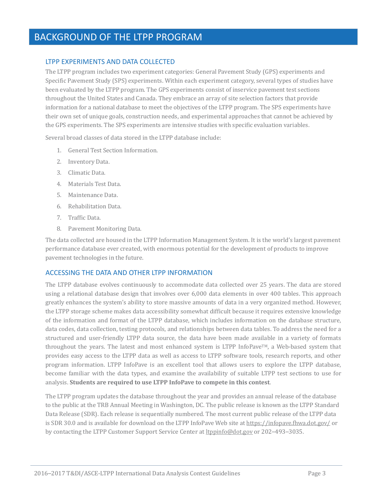# BACKGROUND OF THE LTPP PROGRAM

### LTPP EXPERIMENTS AND DATA COLLECTED

The LTPP program includes two experiment categories: General Pavement Study (GPS) experiments and Specific Pavement Study (SPS) experiments. Within each experiment category, several types of studies have been evaluated by the LTPP program. The GPS experiments consist of inservice pavement test sections throughout the United States and Canada. They embrace an array of site selection factors that provide information for a national database to meet the objectives of the LTPP program. The SPS experiments have their own set of unique goals, construction needs, and experimental approaches that cannot be achieved by the GPS experiments. The SPS experiments are intensive studies with specific evaluation variables.

Several broad classes of data stored in the LTPP database include:

- 1. General Test Section Information.
- 2. Inventory Data.
- 3. Climatic Data.
- 4. Materials Test Data.
- 5. Maintenance Data.
- 6. Rehabilitation Data.
- 7. Traffic Data.
- 8. Pavement Monitoring Data.

The data collected are housed in the LTPP Information Management System. It is the world's largest pavement performance database ever created, with enormous potential for the development of products to improve pavement technologies in the future.

#### ACCESSING THE DATA AND OTHER LTPP INFORMATION

The LTPP database evolves continuously to accommodate data collected over 25 years. The data are stored using a relational database design that involves over 6,000 data elements in over 400 tables. This approach greatly enhances the system's ability to store massive amounts of data in a very organized method. However, the LTPP storage scheme makes data accessibility somewhat difficult because it requires extensive knowledge of the information and format of the LTPP database, which includes information on the database structure, data codes, data collection, testing protocols, and relationships between data tables. To address the need for a structured and user-friendly LTPP data source, the data have been made available in a variety of formats throughout the years. The latest and most enhanced system is LTPP InfoPave<sup>TM</sup>, a Web-based system that provides easy access to the LTPP data as well as access to LTPP software tools, research reports, and other program information. LTPP InfoPave is an excellent tool that allows users to explore the LTPP database, become familiar with the data types, and examine the availability of suitable LTPP test sections to use for **integrals h follogists students** are required to use LTPP InfoPave to compete in this contest.

The LTPP program updates the database throughout the year and provides an annual release of the database to the public at the TRB Annual Meeting in Washington, DC. The public release is known as the LTPP Standard Data Release (SDR). Each release is sequentially numbered. The most current public release of the LTPP data is SDR 30.0 and is available for download on the LTPP InfoPave Web site at https://infopave.fhwa.dot.gov/ or by contacting the LTPP Customer Support Service Center at ltppinfo@dot.gov or 202-493-3035.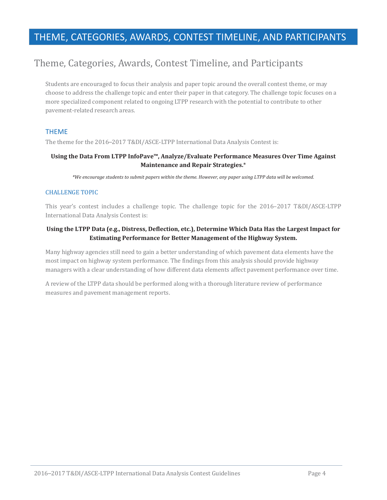# THEME, CATEGORIES, AWARDS, CONTEST TIMELINE, AND PARTICIPANTS

# Theme, Categories, Awards, Contest Timeline, and Participants

Students are encouraged to focus their analysis and paper topic around the overall contest theme, or may choose to address the challenge topic and enter their paper in that category. The challenge topic focuses on a more specialized component related to ongoing LTPP research with the potential to contribute to other pavement-related research areas.

### THEME

The theme for the 2016-2017 T&DI/ASCE-LTPP International Data Analysis Contest is:

### **Using the Data From LTPP InfoPave™, Analyze/Evaluate Performance Measures Over Time Against Maintenance and Repair Strategies.**ȗ

\*We encourage students to submit papers within the theme. However, any paper using LTPP data will be welcomed.

#### **CHALLENGE TOPIC**

This year's contest includes a challenge topic. The challenge topic for the 2016–2017 T&DI/ASCE-LTPP International Data Analysis Contest is:

#### **Using the LTPP Data (e.g., Distress, Deflection, etc.), Determine Which Data Has the Largest Impact for Estimating Performance for Better Management of the Highway System.**

Many highway agencies still need to gain a better understanding of which pavement data elements have the most impact on highway system performance. The findings from this analysis should provide highway managers with a clear understanding of how different data elements affect pavement performance over time.

A review of the LTPP data should be performed along with a thorough literature review of performance measures and pavement management reports.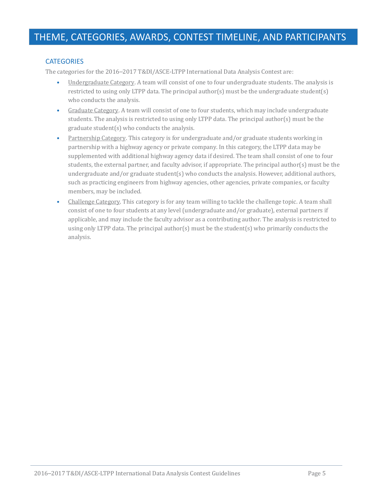## **CATEGORIES**

The categories for the 2016–2017 T&DI/ASCE-LTPP International Data Analysis Contest are:

- Undergraduate Category. A team will consist of one to four undergraduate students. The analysis is restricted to using only LTPP data. The principal author(s) must be the undergraduate student(s) who conducts the analysis.
- Graduate Category. A team will consist of one to four students, which may include undergraduate students. The analysis is restricted to using only LTPP data. The principal author(s) must be the graduate student(s) who conducts the analysis.
- Partnership Category. This category is for undergraduate and/or graduate students working in partnership with a highway agency or private company. In this category, the LTPP data may be supplemented with additional highway agency data if desired. The team shall consist of one to four students, the external partner, and faculty advisor, if appropriate. The principal author(s) must be the undergraduate and/or graduate student(s) who conducts the analysis. However, additional authors, such as practicing engineers from highway agencies, other agencies, private companies, or faculty members, may be included.
- Challenge Category. This category is for any team willing to tackle the challenge topic. A team shall consist of one to four students at any level (undergraduate and/or graduate), external partners if applicable, and may include the faculty advisor as a contributing author. The analysis is restricted to using only LTPP data. The principal author(s) must be the student(s) who primarily conducts the analysis.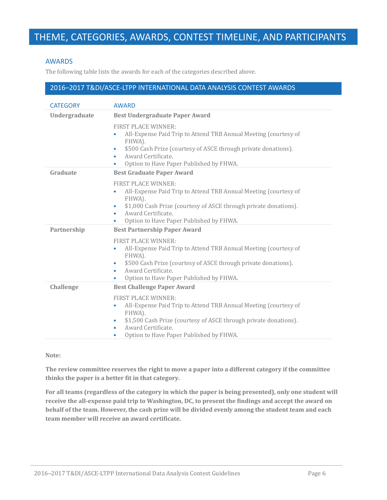# THEME, CATEGORIES, AWARDS, CONTEST TIMELINE, AND PARTICIPANTS

#### AWARDS

The following table lists the awards for each of the categories described above.

### 2016-2017 T&DI/ASCE-LTPP INTERNATIONAL DATA ANALYSIS CONTEST AWARDS

| <b>CATEGORY</b>  | <b>AWARD</b>                                                                                                                                                                                                                                                   |
|------------------|----------------------------------------------------------------------------------------------------------------------------------------------------------------------------------------------------------------------------------------------------------------|
| Undergraduate    | <b>Best Undergraduate Paper Award</b>                                                                                                                                                                                                                          |
|                  | <b>FIRST PLACE WINNER:</b><br>All-Expense Paid Trip to Attend TRB Annual Meeting (courtesy of<br>FHWA).<br>\$500 Cash Prize (courtesy of ASCE through private donations).<br>۰<br>Award Certificate.<br>۰<br>Option to Have Paper Published by FHWA.<br>٠      |
| Graduate         | <b>Best Graduate Paper Award</b>                                                                                                                                                                                                                               |
|                  | <b>FIRST PLACE WINNER:</b><br>All-Expense Paid Trip to Attend TRB Annual Meeting (courtesy of<br>FHWA).<br>\$1,000 Cash Prize (courtesy of ASCE through private donations).<br>۰<br>Award Certificate.<br>۰<br>Option to Have Paper Published by FHWA.         |
| Partnership      | <b>Best Partnership Paper Award</b>                                                                                                                                                                                                                            |
|                  | <b>FIRST PLACE WINNER:</b><br>All-Expense Paid Trip to Attend TRB Annual Meeting (courtesy of<br>۰<br>FHWA).<br>\$500 Cash Prize (courtesy of ASCE through private donations).<br>۰<br>Award Certificate.<br>٠<br>Option to Have Paper Published by FHWA.<br>٠ |
| <b>Challenge</b> | <b>Best Challenge Paper Award</b>                                                                                                                                                                                                                              |
|                  | <b>FIRST PLACE WINNER:</b><br>All-Expense Paid Trip to Attend TRB Annual Meeting (courtesy of<br>٠<br>FHWA).<br>\$1,500 Cash Prize (courtesy of ASCE through private donations).<br>۰<br>Award Certificate.<br>۰<br>Option to Have Paper Published by FHWA.    |

#### **Note:**

**The review committee reserves the right to move a paper into a different category if the committee thinks the paper is a better fit in that category.**

For all teams (regardless of the category in which the paper is being presented), only one student will receive the all-expense paid trip to Washington, DC, to present the findings and accept the award on **behalf of the team. However, the cash prize will be divided evenly among the student team and each team member will receive an award certificate.**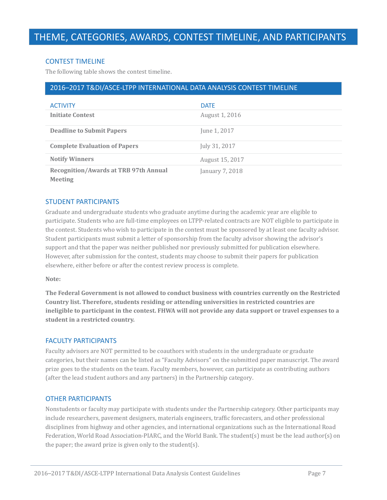### CONTEST TIMELINE

The following table shows the contest timeline.

## 2016–2017 T&DI/ASCE-LTPP INTERNATIONAL DATA ANALYSIS CONTEST TIMELINE

| <b>ACTIVITY</b>                                                | <b>DATE</b>     |
|----------------------------------------------------------------|-----------------|
| <b>Initiate Contest</b>                                        | August 1, 2016  |
| <b>Deadline to Submit Papers</b>                               | June 1, 2017    |
| <b>Complete Evaluation of Papers</b>                           | July 31, 2017   |
| <b>Notify Winners</b>                                          | August 15, 2017 |
| <b>Recognition/Awards at TRB 97th Annual</b><br><b>Meeting</b> | January 7, 2018 |

#### STUDENT PARTICIPANTS

Graduate and undergraduate students who graduate anytime during the academic year are eligible to participate. Students who are full-time employees on LTPP-related contracts are NOT eligible to participate in the contest. Students who wish to participate in the contest must be sponsored by at least one faculty advisor. Student participants must submit a letter of sponsorship from the faculty advisor showing the advisor's support and that the paper was neither published nor previously submitted for publication elsewhere. However, after submission for the contest, students may choose to submit their papers for publication elsewhere, either before or after the contest review process is complete.

#### **Note:**

**The Federal Government is not allowed to conduct business with countries currently on the Restricted Country list. Therefore, students residing or attending universities in restricted countries are** ineligible to participant in the contest. FHWA will not provide any data support or travel expenses to a **student in a restricted country.**

#### FACULTY PARTICIPANTS

Faculty advisors are NOT permitted to be coauthors with students in the undergraduate or graduate categories, but their names can be listed as "Faculty Advisors" on the submitted paper manuscript. The award prize goes to the students on the team. Faculty members, however, can participate as contributing authors (after the lead student authors and any partners) in the Partnership category.

#### OTHER PARTICIPANTS

Nonstudents or faculty may participate with students under the Partnership category. Other participants may include researchers, pavement designers, materials engineers, traffic forecasters, and other professional disciplines from highway and other agencies, and international organizations such as the International Road Federation, World Road Association-PIARC, and the World Bank. The student(s) must be the lead author(s) on the paper; the award prize is given only to the student(s).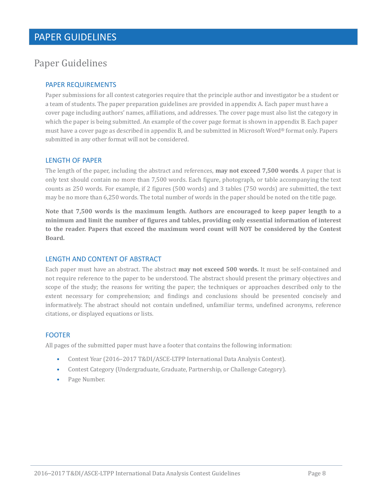# Paper Guidelines

# PAPER REQUIREMENTS

Paper submissions for all contest categories require that the principle author and investigator be a student or a team of students. The paper preparation guidelines are provided in appendix A. Each paper must have a cover page including authors' names, affiliations, and addresses. The cover page must also list the category in which the paper is being submitted. An example of the cover page format is shown in appendix B. Each paper must have a cover page as described in appendix B, and be submitted in Microsoft Word® format only. Papers submitted in any other format will not be considered.

#### LENGTH OF PAPER

The length of the paper, including the abstract and references, **may not exceed 7,500 words**. A paper that is only text should contain no more than 7,500 words. Each figure, photograph, or table accompanying the text counts as 250 words. For example, if 2 figures (500 words) and 3 tables (750 words) are submitted, the text may be no more than 6,250 words. The total number of words in the paper should be noted on the title page.

**Note that 7,500 words is the maximum length. Authors are encouraged to keep paper length to a minimum and limit the number of figures and tables, providing only essential information of interest to the reader. Papers that exceed the maximum word count will NOT be considered by the Contest Board.**

### LENGTH AND CONTENT OF ABSTRACT

Each paper must have an abstract. The abstract may not exceed 500 words. It must be self-contained and not require reference to the paper to be understood. The abstract should present the primary objectives and scope of the study; the reasons for writing the paper; the techniques or approaches described only to the extent necessary for comprehension; and findings and conclusions should be presented concisely and informatively. The abstract should not contain undefined, unfamiliar terms, undefined acronyms, reference citations, or displayed equations or lists.

### FOOTER

All pages of the submitted paper must have a footer that contains the following information:

- Contest Year (2016-2017 T&DI/ASCE-LTPP International Data Analysis Contest).
- Contest Category (Undergraduate, Graduate, Partnership, or Challenge Category).
- Page Number.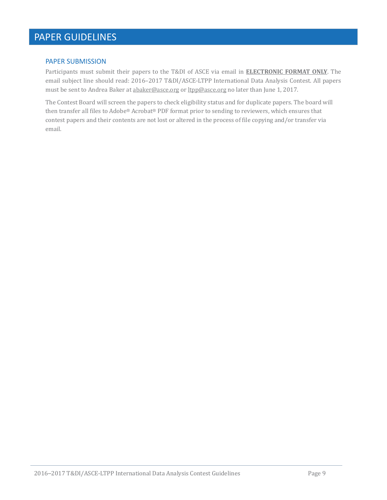# PAPER GUIDELINES

#### PAPER SUBMISSION

Participants must submit their papers to the T&DI of ASCE via email in **ELECTRONIC FORMAT ONLY**. The email subject line should read: 2016-2017 T&DI/ASCE-LTPP International Data Analysis Contest. All papers must be sent to Andrea Baker at abaker@asce.org or ltpp@asce.org no later than June 1, 2017.

The Contest Board will screen the papers to check eligibility status and for duplicate papers. The board will then transfer all files to Adobe® Acrobat® PDF format prior to sending to reviewers, which ensures that contest papers and their contents are not lost or altered in the process of file copying and/or transfer via email.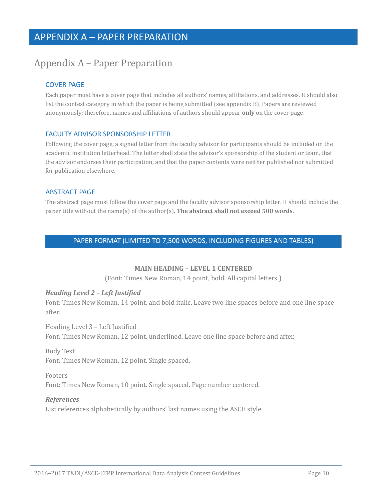# Appendix A – Paper Preparation

# COVER PAGE

Each paper must have a cover page that includes all authors' names, affiliations, and addresses. It should also list the contest category in which the paper is being submitted (see appendix B). Papers are reviewed anonymously; therefore, names and affiliations of authors should appear **only** on the cover page.

### FACULTY ADVISOR SPONSORSHIP LETTER

Following the cover page, a signed letter from the faculty advisor for participants should be included on the academic institution letterhead. The letter shall state the advisor's sponsorship of the student or team, that the advisor endorses their participation, and that the paper contents were neither published nor submitted for publication elsewhere.

### ABSTRACT PAGE

The abstract page must follow the cover page and the faculty advisor sponsorship letter. It should include the  $\mu$  paper title without the name(s) of the author(s). The abstract shall not exceed 500 words.

## PAPER FORMAT (LIMITED TO 7,500 WORDS, INCLUDING FIGURES AND TABLES)

### **MAIN HEADING – LEVEL 1 CENTERED**

(Font: Times New Roman, 14 point, bold. All capital letters.)

### *Heading Level 2 – Left Justified*

Font: Times New Roman, 14 point, and bold italic. Leave two line spaces before and one line space after.

Heading Level 3 - Left Justified Font: Times New Roman, 12 point, underlined. Leave one line space before and after.

**Body Text** Font: Times New Roman, 12 point. Single spaced.

#### Footers

Font: Times New Roman, 10 point. Single spaced. Page number centered.

#### *References*

List references alphabetically by authors' last names using the ASCE style.